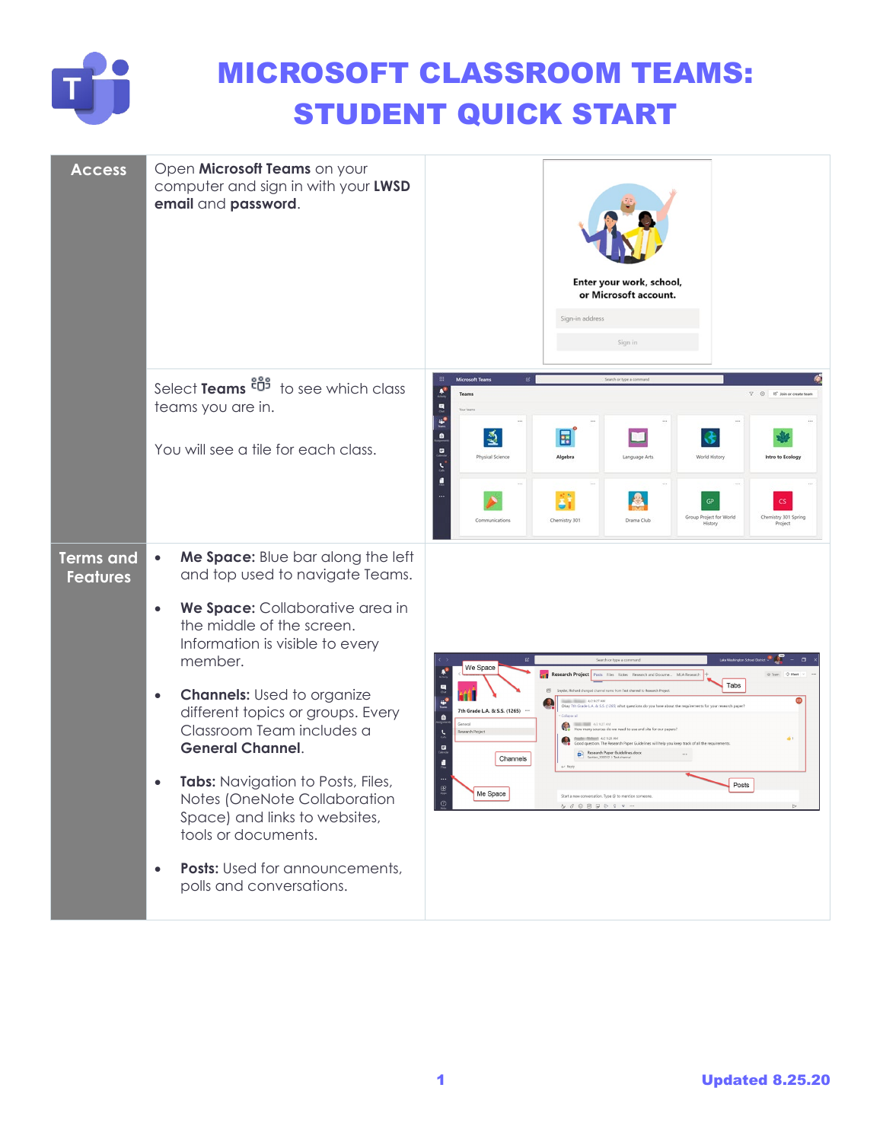

## MICROSOFT CLASSROOM TEAMS: STUDENT QUICK START

| <b>Access</b>                       | Open Microsoft Teams on your<br>computer and sign in with your LWSD<br>email and password.                                                  | Enter your work, school,<br>or Microsoft account.<br>Sign-in address<br>Sign in                                                                                                                                            |
|-------------------------------------|---------------------------------------------------------------------------------------------------------------------------------------------|----------------------------------------------------------------------------------------------------------------------------------------------------------------------------------------------------------------------------|
|                                     | Select Teams $\frac{1}{2}$ to see which class<br>teams you are in.                                                                          | Microsoft Teams<br>IS" Join or create tea<br>q<br>Ľ                                                                                                                                                                        |
|                                     | You will see a tile for each class.                                                                                                         | $\bullet$<br>$\mathbb{E}$<br>国<br>$\blacksquare$<br>Physical Science<br>Algebra<br>World History<br>anguage Arts<br>tro to Ecology                                                                                         |
|                                     |                                                                                                                                             | Group Project for World<br>Chemistry 301 Spring<br>Drama Club<br>munications<br>Chemistry 301<br>History<br>Project                                                                                                        |
| <b>Terms and</b><br><b>Features</b> | Me Space: Blue bar along the left<br>and top used to navigate Teams.<br>We Space: Collaborative area in<br>$\bullet$                        |                                                                                                                                                                                                                            |
|                                     | the middle of the screen.<br>Information is visible to every<br>member.                                                                     | B<br>We Space<br>Research Project<br>Posts Files Notes Research and Docume MLA Researc                                                                                                                                     |
|                                     | <b>Channels:</b> Used to organize<br>$\bullet$<br>different topics or groups. Every<br>Classroom Team includes a<br><b>General Channel.</b> | Tabs<br>63<br>i<br>Ioann<br>Okay 7th Grade L.A. & S.S. (126)<br>7th Grade L.A. & S.S. (1265)<br>$\bullet$<br>4/2 9:27 AN<br>low many sources do we need to use and site for-<br>Research Paper Guidelines.docx<br>Channels |
|                                     | Tabs: Navigation to Posts, Files,<br>Notes (OneNote Collaboration<br>Space) and links to websites,<br>tools or documents.                   | Posts<br>$\bigoplus_{\lambda \neq \pm}$<br>Me Space<br>$\mathop{\mathcal{Q}_{\!\!\mathit{u}}}$<br>$\,$                                                                                                                     |
|                                     | Posts: Used for announcements,<br>polls and conversations.                                                                                  |                                                                                                                                                                                                                            |